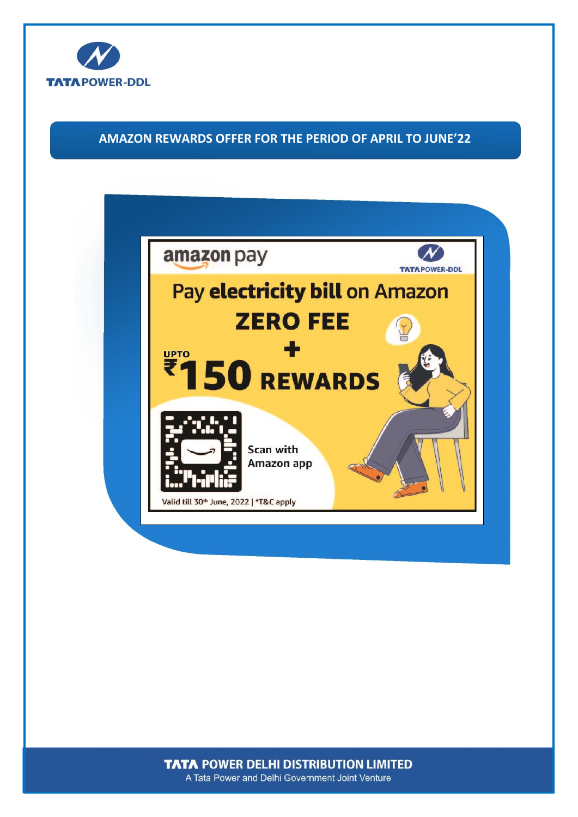

# **AMAZON REWARDS OFFER FOR THE PERIOD OF APRIL TO JUNE'22**



**TATA POWER DELHI DISTRIBUTION LIMITED** A Tata Power and Delhi Government Joint Venture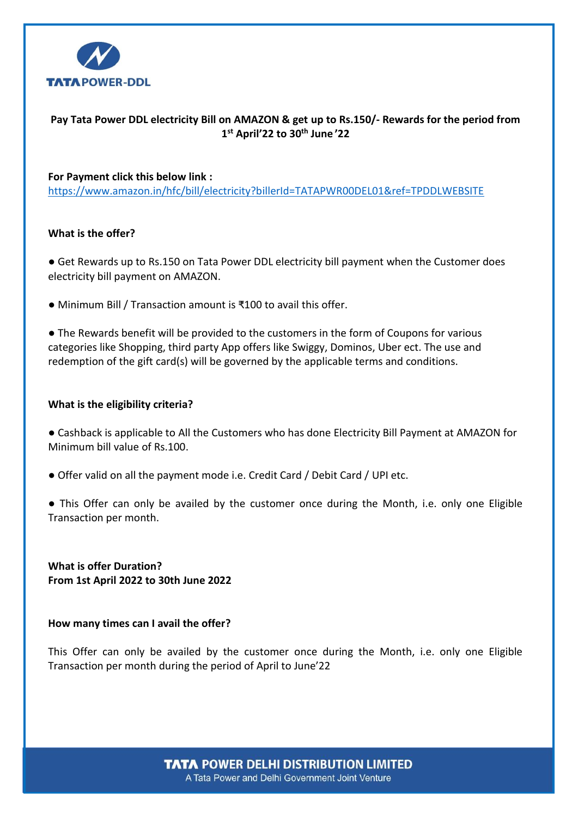

# **Pay Tata Power DDL electricity Bill on AMAZON & get up to Rs.150/- Rewards for the period from 1 st April'22 to 30 th June '22**

# **For Payment click this below link :**

[https://www.amazon.in/hfc/bill/electricity?billerId=TATAPWR00DEL01&ref=TPDDLWEBSITE](https://apc01.safelinks.protection.outlook.com/?url=https%3A%2F%2Fwww.amazon.in%2Fhfc%2Fbill%2Felectricity%3FbillerId%3DTATAPWR00DEL01%26ref%3DTPDDLWEBSITE&data=04%7C01%7Cvkkalia%40prione.in%7C9da8c3bf8caf4c9e227508d9a5d129e2%7Cc1715891027c42fe924b77cb35e48c92%7C0%7C0%7C637723140029050931%7CUnknown%7CTWFpbGZsb3d8eyJWIjoiMC4wLjAwMDAiLCJQIjoiV2luMzIiLCJBTiI6Ik1haWwiLCJXVCI6Mn0%3D%7C1000&sdata=GiMjeybjVoNYWyttUcmwq8orpsX2uGwmJBXd%2BcWgi7U%3D&reserved=0)

# **What is the offer?**

● Get Rewards up to Rs.150 on Tata Power DDL electricity bill payment when the Customer does electricity bill payment on AMAZON.

● Minimum Bill / Transaction amount is ₹100 to avail this offer.

● The Rewards benefit will be provided to the customers in the form of Coupons for various categories like Shopping, third party App offers like Swiggy, Dominos, Uber ect. The use and redemption of the gift card(s) will be governed by the applicable terms and conditions.

# **What is the eligibility criteria?**

● Cashback is applicable to All the Customers who has done Electricity Bill Payment at AMAZON for Minimum bill value of Rs.100.

- Offer valid on all the payment mode i.e. Credit Card / Debit Card / UPI etc.
- This Offer can only be availed by the customer once during the Month, i.e. only one Eligible Transaction per month.

**What is offer Duration? From 1st April 2022 to 30th June 2022**

#### **How many times can I avail the offer?**

This Offer can only be availed by the customer once during the Month, i.e. only one Eligible Transaction per month during the period of April to June'22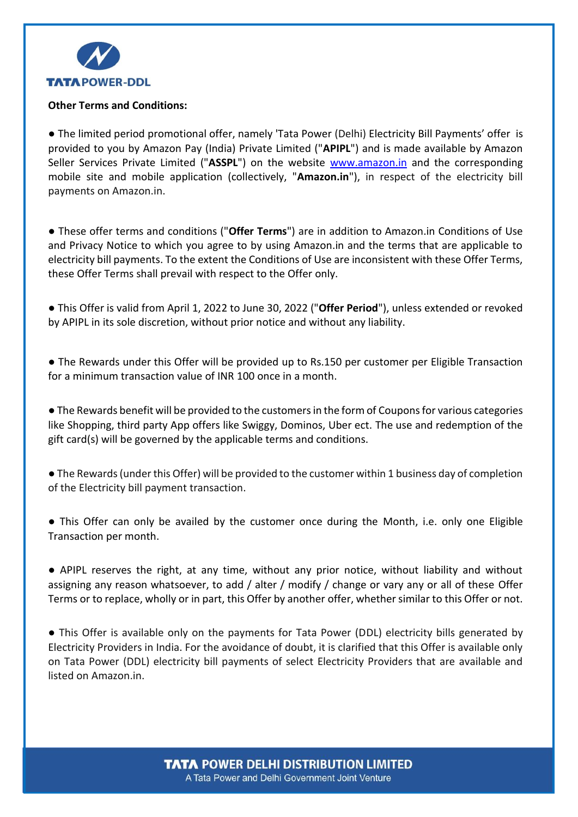

# **Other Terms and Conditions:**

● The limited period promotional offer, namely 'Tata Power (Delhi) Electricity Bill Payments' offer is provided to you by Amazon Pay (India) Private Limited ("**APIPL**") and is made available by Amazon Seller Services Private Limited ("**ASSPL**") on the website [www.amazon.in](http://www.amazon.in/) and the corresponding mobile site and mobile application (collectively, "**Amazon.in**"), in respect of the electricity bill payments on Amazon.in.

● These offer terms and conditions ("**Offer Terms**") are in addition to Amazon.in Conditions of Use and Privacy Notice to which you agree to by using Amazon.in and the terms that are applicable to electricity bill payments. To the extent the Conditions of Use are inconsistent with these Offer Terms, these Offer Terms shall prevail with respect to the Offer only.

● This Offer is valid from April 1, 2022 to June 30, 2022 ("**Offer Period**"), unless extended or revoked by APIPL in its sole discretion, without prior notice and without any liability.

● The Rewards under this Offer will be provided up to Rs.150 per customer per Eligible Transaction for a minimum transaction value of INR 100 once in a month.

● The Rewards benefit will be provided to the customers in the form of Coupons for various categories like Shopping, third party App offers like Swiggy, Dominos, Uber ect. The use and redemption of the gift card(s) will be governed by the applicable terms and conditions.

● The Rewards(under this Offer) will be provided to the customer within 1 business day of completion of the Electricity bill payment transaction.

● This Offer can only be availed by the customer once during the Month, i.e. only one Eligible Transaction per month.

● APIPL reserves the right, at any time, without any prior notice, without liability and without assigning any reason whatsoever, to add / alter / modify / change or vary any or all of these Offer Terms or to replace, wholly or in part, this Offer by another offer, whether similar to this Offer or not.

● This Offer is available only on the payments for Tata Power (DDL) electricity bills generated by Electricity Providers in India. For the avoidance of doubt, it is clarified that this Offer is available only on Tata Power (DDL) electricity bill payments of select Electricity Providers that are available and listed on [Amazon.in.](http://amazon.in/)